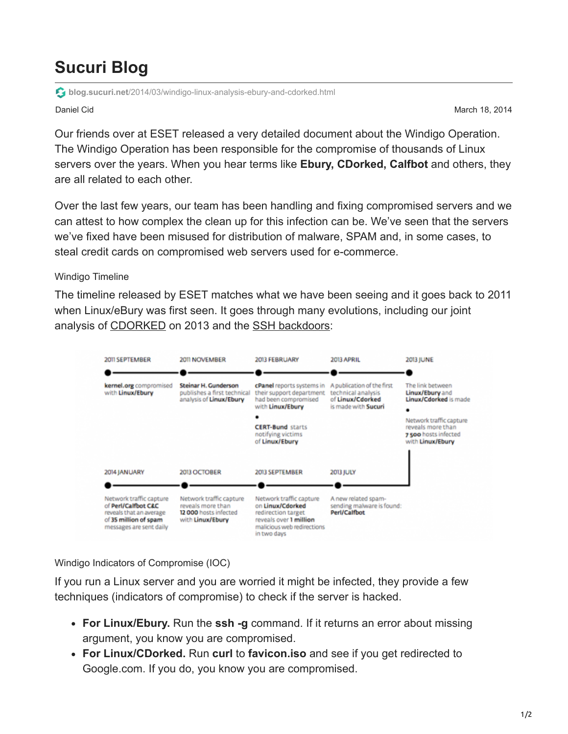## **Sucuri Blog**

**blog.sucuri.net**[/2014/03/windigo-linux-analysis-ebury-and-cdorked.html](https://blog.sucuri.net/2014/03/windigo-linux-analysis-ebury-and-cdorked.html)

Daniel Cid March 18, 2014

Our friends over at ESET released a very detailed document about the Windigo Operation. The Windigo Operation has been responsible for the compromise of thousands of Linux servers over the years. When you hear terms like **Ebury, CDorked, Calfbot** and others, they are all related to each other.

Over the last few years, our team has been handling and fixing compromised servers and we can attest to how complex the clean up for this infection can be. We've seen that the servers we've fixed have been misused for distribution of malware, SPAM and, in some cases, to steal credit cards on compromised web servers used for e-commerce.

## Windigo Timeline

The timeline released by ESET matches what we have been seeing and it goes back to 2011 when Linux/eBury was first seen. It goes through many evolutions, including our joint analysis of [CDORKED](https://blog.sucuri.net/2013/04/apache-binary-backdoors-on-cpanel-based-servers.html) on 2013 and the [SSH backdoors:](https://blog.sucuri.net/2013/01/server-side-iframe-injections-via-apache-modules-and-sshd-backdoor.html)



Windigo Indicators of Compromise (IOC)

If you run a Linux server and you are worried it might be infected, they provide a few techniques (indicators of compromise) to check if the server is hacked.

- **For Linux/Ebury.** Run the **ssh -g** command. If it returns an error about missing argument, you know you are compromised.
- **For Linux/CDorked.** Run **curl** to **favicon.iso** and see if you get redirected to Google.com. If you do, you know you are compromised.